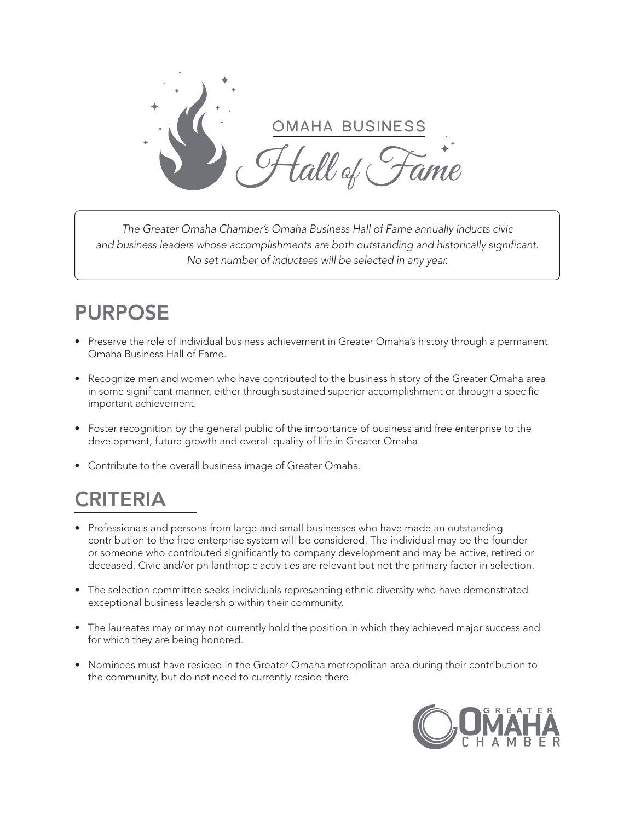

*The Greater Omaha Chamber's Omaha Business Hall of Fame annually inducts civic and business leaders whose accomplishments are both outstanding and historically significant. No set number of inductees will be selected in any year.* 

## PURPOSE

- Preserve the role of individual business achievement in Greater Omaha's history through a permanent Omaha Business Hall of Fame.
- Recognize men and women who have contributed to the business history of the Greater Omaha area in some significant manner, either through sustained superior accomplishment or through a specific important achievement.
- Foster recognition by the general public of the importance of business and free enterprise to the development, future growth and overall quality of life in Greater Omaha.
- Contribute to the overall business image of Greater Omaha.

## CRITERIA

- Professionals and persons from large and small businesses who have made an outstanding contribution to the free enterprise system will be considered. The individual may be the founder or someone who contributed significantly to company development and may be active, retired or deceased. Civic and/or philanthropic activities are relevant but not the primary factor in selection.
- The selection committee seeks individuals representing ethnic diversity who have demonstrated exceptional business leadership within their community.
- The laureates may or may not currently hold the position in which they achieved major success and for which they are being honored.
- Nominees must have resided in the Greater Omaha metropolitan area during their contribution to the community, but do not need to currently reside there.